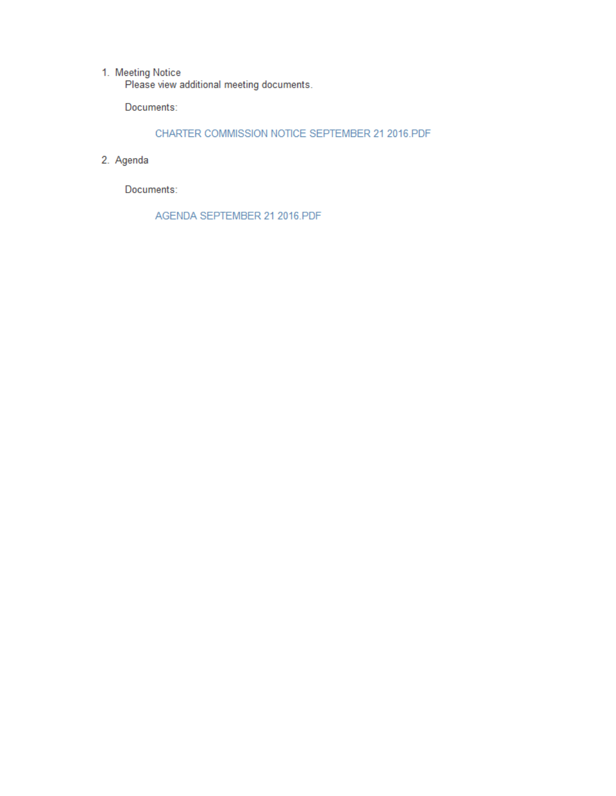1. Meeting Notice<br>Please view additional meeting documents.

Documents:

CHARTER COMMISSION NOTICE SEPTEMBER 21 2016.PDF

2. Agenda

Documents:

AGENDA SEPTEMBER 21 2016.PDF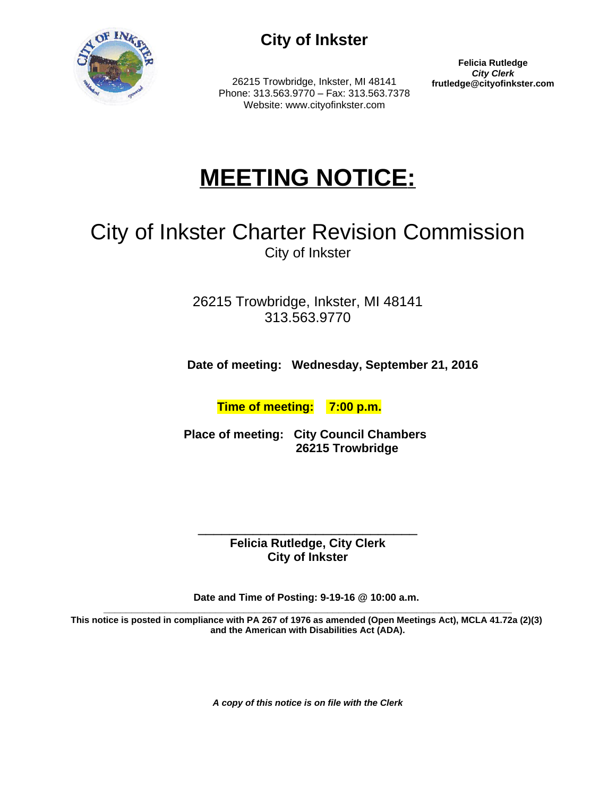

## **City of Inkster**

26215 Trowbridge, Inkster, MI 48141 Phone: 313.563.9770 – Fax: 313.563.7378 Website: www.cityofinkster.com

**Felicia Rutledge City Clerk**<br>frutledge@cityofinkster.com

# **MEETING NOTICE:**

# City of Inkster Charter Revision Commission City of Inkster

26215 Trowbridge, Inkster, MI 48141 313.563.9770

 **Date of meeting: Wednesday, September 21, 2016**

 **Time of meeting: 7:00 p.m.**

 **Place of meeting: City Council Chambers 26215 Trowbridge**

\_\_\_\_\_\_\_\_\_\_\_\_\_\_\_\_\_\_\_\_\_\_\_\_\_\_\_\_ **Felicia Rutledge, City Clerk City of Inkster**

**Date and Time of Posting: 9-19-16 @ 10:00 a.m.** 

**\_\_\_\_\_\_\_\_\_\_\_\_\_\_\_\_\_\_\_\_\_\_\_\_\_\_\_\_\_\_\_\_\_\_\_\_\_\_\_\_\_\_\_\_\_\_\_\_\_\_\_\_\_\_\_\_\_\_\_\_\_\_\_\_\_\_\_\_\_\_\_\_\_ This notice is posted in compliance with PA 267 of 1976 as amended (Open Meetings Act), MCLA 41.72a (2)(3) and the American with Disabilities Act (ADA).**

*A copy of this notice is on file with the Clerk*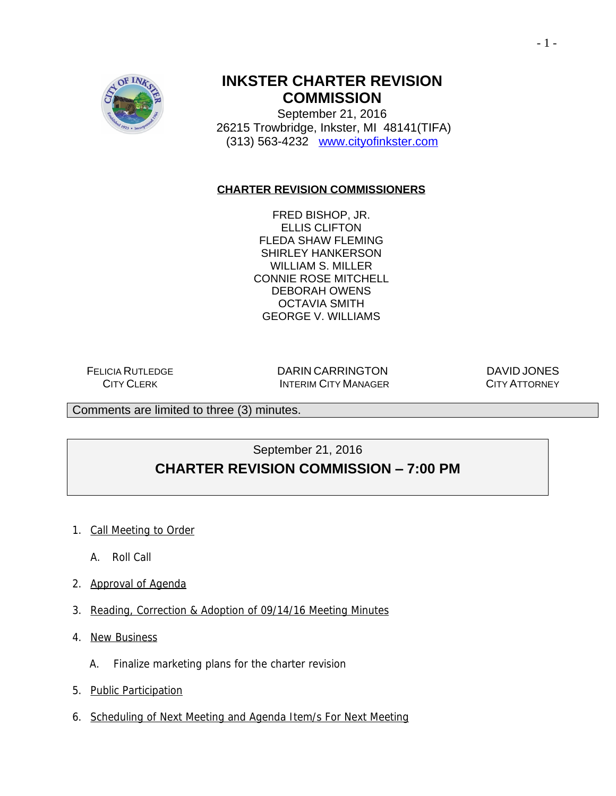

### **INKSTER CHARTER REVISION COMMISSION**

September 21, 2016 26215 Trowbridge, Inkster, MI 48141(TIFA) (313) 563-4232 [www.cityofinkster.com](http://www.cityofinkster.com)

#### **CHARTER REVISION COMMISSIONERS**

FRED BISHOP, JR. ELLIS CLIFTON FLEDA SHAW FLEMING SHIRLEY HANKERSON WILLIAM S. MILLER CONNIE ROSE MITCHELL DEBORAH OWENS OCTAVIA SMITH GEORGE V. WILLIAMS

FELICIA RUTLEDGE CITY CLERK

DARIN CARRINGTON INTERIM CITY MANAGER

DAVID JONES CITY ATTORNEY

Comments are limited to three (3) minutes.

#### September 21, 2016 **CHARTER REVISION COMMISSION – 7:00 PM**

- 1. Call Meeting to Order
	- A. Roll Call
- 2. Approval of Agenda
- 3. Reading, Correction & Adoption of 09/14/16 Meeting Minutes
- 4. New Business
	- A. Finalize marketing plans for the charter revision
- 5. Public Participation
- 6. Scheduling of Next Meeting and Agenda Item/s For Next Meeting